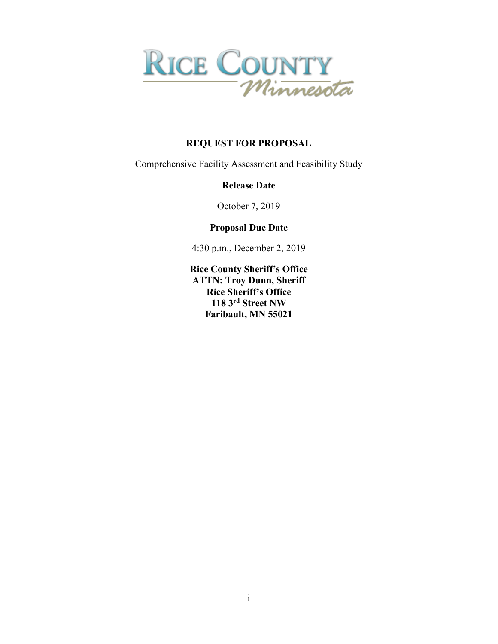

# **REQUEST FOR PROPOSAL**

Comprehensive Facility Assessment and Feasibility Study

#### **Release Date**

October 7, 2019

# **Proposal Due Date**

4:30 p.m., December 2, 2019

**Rice County Sheriff's Office ATTN: Troy Dunn, Sheriff Rice Sheriff's Office 118 3rd Street NW Faribault, MN 55021**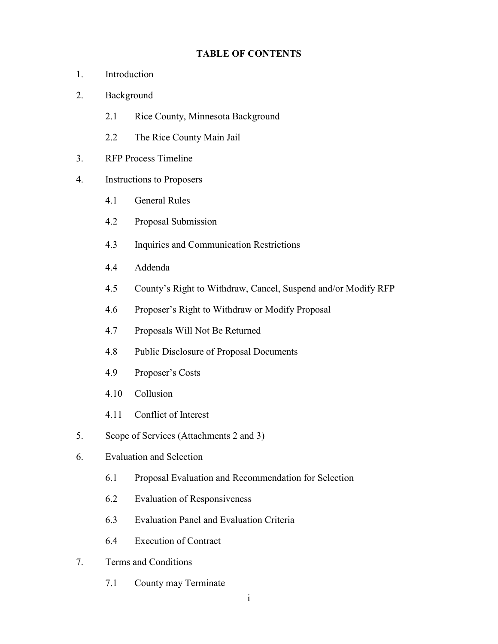#### **TABLE OF CONTENTS**

- 1. Introduction
- 2. Background
	- 2.1 Rice County, Minnesota Background
	- 2.2 The Rice County Main Jail
- 3. RFP Process Timeline
- 4. Instructions to Proposers
	- 4.1 General Rules
	- 4.2 Proposal Submission
	- 4.3 Inquiries and Communication Restrictions
	- 4.4 Addenda
	- 4.5 County's Right to Withdraw, Cancel, Suspend and/or Modify RFP
	- 4.6 Proposer's Right to Withdraw or Modify Proposal
	- 4.7 Proposals Will Not Be Returned
	- 4.8 Public Disclosure of Proposal Documents
	- 4.9 Proposer's Costs
	- 4.10 Collusion
	- 4.11 Conflict of Interest
- 5. Scope of Services (Attachments 2 and 3)
- 6. Evaluation and Selection
	- 6.1 Proposal Evaluation and Recommendation for Selection
	- 6.2 Evaluation of Responsiveness
	- 6.3 Evaluation Panel and Evaluation Criteria
	- 6.4 Execution of Contract
- 7. Terms and Conditions
	- 7.1 County may Terminate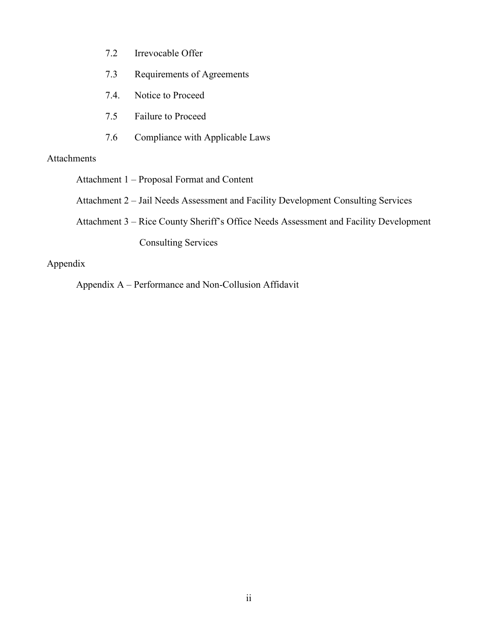- 7.2 Irrevocable Offer
- 7.3 Requirements of Agreements
- 7.4. Notice to Proceed
- 7.5 Failure to Proceed
- 7.6 Compliance with Applicable Laws

# Attachments

Attachment 1 – Proposal Format and Content

Attachment 2 – Jail Needs Assessment and Facility Development Consulting Services

Attachment 3 – Rice County Sheriff's Office Needs Assessment and Facility Development

Consulting Services

# Appendix

Appendix A – Performance and Non-Collusion Affidavit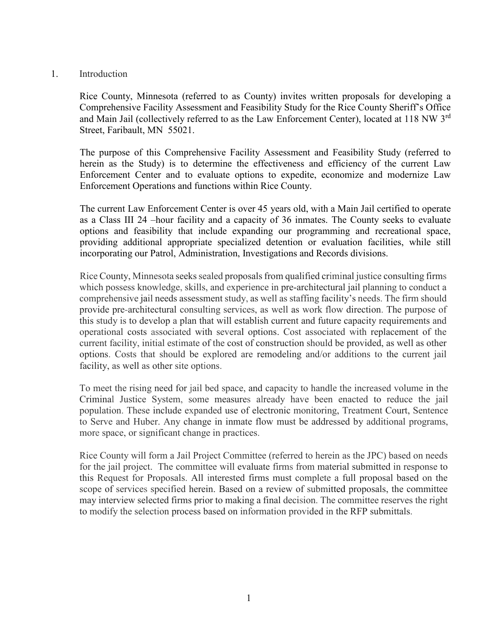#### 1. Introduction

Rice County, Minnesota (referred to as County) invites written proposals for developing a Comprehensive Facility Assessment and Feasibility Study for the Rice County Sheriff's Office and Main Jail (collectively referred to as the Law Enforcement Center), located at 118 NW 3rd Street, Faribault, MN 55021.

The purpose of this Comprehensive Facility Assessment and Feasibility Study (referred to herein as the Study) is to determine the effectiveness and efficiency of the current Law Enforcement Center and to evaluate options to expedite, economize and modernize Law Enforcement Operations and functions within Rice County.

The current Law Enforcement Center is over 45 years old, with a Main Jail certified to operate as a Class III 24 –hour facility and a capacity of 36 inmates. The County seeks to evaluate options and feasibility that include expanding our programming and recreational space, providing additional appropriate specialized detention or evaluation facilities, while still incorporating our Patrol, Administration, Investigations and Records divisions.

Rice County, Minnesota seeks sealed proposals from qualified criminal justice consulting firms which possess knowledge, skills, and experience in pre-architectural jail planning to conduct a comprehensive jail needs assessment study, as well as staffing facility's needs. The firm should provide pre-architectural consulting services, as well as work flow direction. The purpose of this study is to develop a plan that will establish current and future capacity requirements and operational costs associated with several options. Cost associated with replacement of the current facility, initial estimate of the cost of construction should be provided, as well as other options. Costs that should be explored are remodeling and/or additions to the current jail facility, as well as other site options.

To meet the rising need for jail bed space, and capacity to handle the increased volume in the Criminal Justice System, some measures already have been enacted to reduce the jail population. These include expanded use of electronic monitoring, Treatment Court, Sentence to Serve and Huber. Any change in inmate flow must be addressed by additional programs, more space, or significant change in practices.

Rice County will form a Jail Project Committee (referred to herein as the JPC) based on needs for the jail project. The committee will evaluate firms from material submitted in response to this Request for Proposals. All interested firms must complete a full proposal based on the scope of services specified herein. Based on a review of submitted proposals, the committee may interview selected firms prior to making a final decision. The committee reserves the right to modify the selection process based on information provided in the RFP submittals.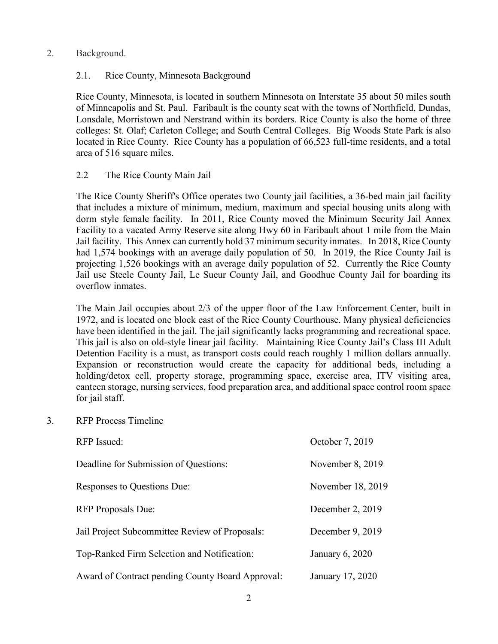#### 2. Background.

# 2.1. Rice County, Minnesota Background

Rice County, Minnesota, is located in southern Minnesota on Interstate 35 about 50 miles south of Minneapolis and St. Paul. Faribault is the county seat with the towns of Northfield, Dundas, Lonsdale, Morristown and Nerstrand within its borders. Rice County is also the home of three colleges: St. Olaf; Carleton College; and South Central Colleges. Big Woods State Park is also located in Rice County. Rice County has a population of 66,523 full-time residents, and a total area of 516 square miles.

# 2.2 The Rice County Main Jail

The Rice County Sheriff's Office operates two County jail facilities, a 36-bed main jail facility that includes a mixture of minimum, medium, maximum and special housing units along with dorm style female facility. In 2011, Rice County moved the Minimum Security Jail Annex Facility to a vacated Army Reserve site along Hwy 60 in Faribault about 1 mile from the Main Jail facility. This Annex can currently hold 37 minimum security inmates. In 2018, Rice County had 1,574 bookings with an average daily population of 50. In 2019, the Rice County Jail is projecting 1,526 bookings with an average daily population of 52. Currently the Rice County Jail use Steele County Jail, Le Sueur County Jail, and Goodhue County Jail for boarding its overflow inmates.

The Main Jail occupies about 2/3 of the upper floor of the Law Enforcement Center, built in 1972, and is located one block east of the Rice County Courthouse. Many physical deficiencies have been identified in the jail. The jail significantly lacks programming and recreational space. This jail is also on old-style linear jail facility. Maintaining Rice County Jail's Class III Adult Detention Facility is a must, as transport costs could reach roughly 1 million dollars annually. Expansion or reconstruction would create the capacity for additional beds, including a holding/detox cell, property storage, programming space, exercise area, ITV visiting area, canteen storage, nursing services, food preparation area, and additional space control room space for jail staff.

3. RFP Process Timeline

| <b>RFP</b> Issued:                               | October 7, 2019   |
|--------------------------------------------------|-------------------|
| Deadline for Submission of Questions:            | November 8, 2019  |
| Responses to Questions Due:                      | November 18, 2019 |
| <b>RFP</b> Proposals Due:                        | December 2, 2019  |
| Jail Project Subcommittee Review of Proposals:   | December 9, 2019  |
| Top-Ranked Firm Selection and Notification:      | January 6, 2020   |
| Award of Contract pending County Board Approval: | January 17, 2020  |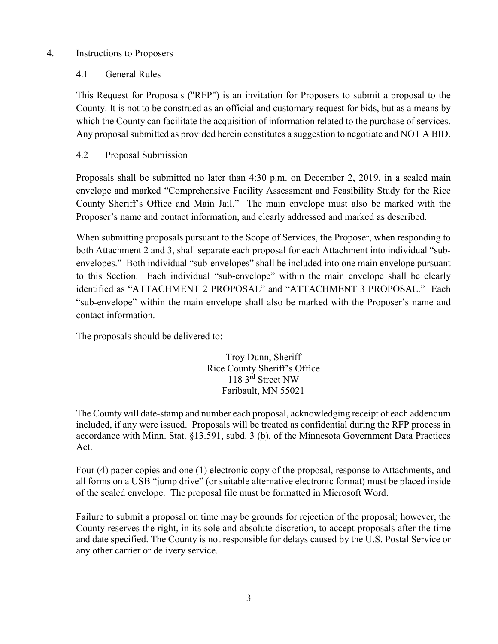# 4. Instructions to Proposers

# 4.1 General Rules

This Request for Proposals ("RFP") is an invitation for Proposers to submit a proposal to the County. It is not to be construed as an official and customary request for bids, but as a means by which the County can facilitate the acquisition of information related to the purchase of services. Any proposal submitted as provided herein constitutes a suggestion to negotiate and NOT A BID.

# 4.2 Proposal Submission

Proposals shall be submitted no later than 4:30 p.m. on December 2, 2019, in a sealed main envelope and marked "Comprehensive Facility Assessment and Feasibility Study for the Rice County Sheriff's Office and Main Jail." The main envelope must also be marked with the Proposer's name and contact information, and clearly addressed and marked as described.

When submitting proposals pursuant to the Scope of Services, the Proposer, when responding to both Attachment 2 and 3, shall separate each proposal for each Attachment into individual "subenvelopes." Both individual "sub-envelopes" shall be included into one main envelope pursuant to this Section. Each individual "sub-envelope" within the main envelope shall be clearly identified as "ATTACHMENT 2 PROPOSAL" and "ATTACHMENT 3 PROPOSAL." Each "sub-envelope" within the main envelope shall also be marked with the Proposer's name and contact information.

The proposals should be delivered to:

Troy Dunn, Sheriff Rice County Sheriff's Office 118 3<sup>rd</sup> Street NW Faribault, MN 55021

The County will date-stamp and number each proposal, acknowledging receipt of each addendum included, if any were issued. Proposals will be treated as confidential during the RFP process in accordance with Minn. Stat. §13.591, subd. 3 (b), of the Minnesota Government Data Practices Act.

Four (4) paper copies and one (1) electronic copy of the proposal, response to Attachments, and all forms on a USB "jump drive" (or suitable alternative electronic format) must be placed inside of the sealed envelope. The proposal file must be formatted in Microsoft Word.

Failure to submit a proposal on time may be grounds for rejection of the proposal; however, the County reserves the right, in its sole and absolute discretion, to accept proposals after the time and date specified. The County is not responsible for delays caused by the U.S. Postal Service or any other carrier or delivery service.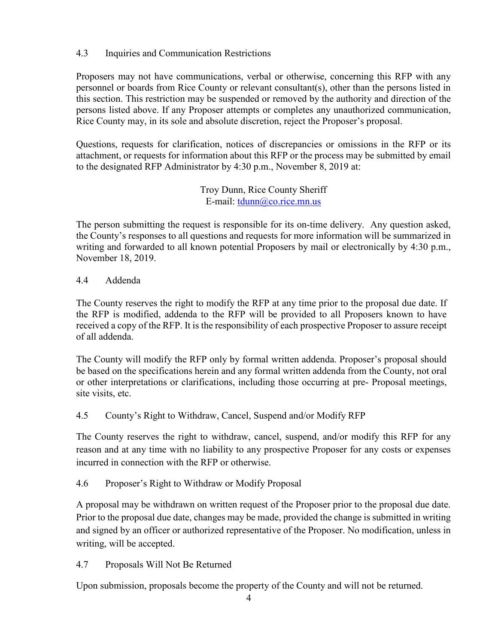# 4.3 Inquiries and Communication Restrictions

Proposers may not have communications, verbal or otherwise, concerning this RFP with any personnel or boards from Rice County or relevant consultant(s), other than the persons listed in this section. This restriction may be suspended or removed by the authority and direction of the persons listed above. If any Proposer attempts or completes any unauthorized communication, Rice County may, in its sole and absolute discretion, reject the Proposer's proposal.

Questions, requests for clarification, notices of discrepancies or omissions in the RFP or its attachment, or requests for information about this RFP or the process may be submitted by email to the designated RFP Administrator by 4:30 p.m., November 8, 2019 at:

> Troy Dunn, Rice County Sheriff E-mail: [tdunn@co.rice.mn.us](mailto:tdunn@co.rice.mn.us)

The person submitting the request is responsible for its on-time delivery. Any question asked, the County's responses to all questions and requests for more information will be summarized in writing and forwarded to all known potential Proposers by mail or electronically by 4:30 p.m., November 18, 2019.

#### 4.4 Addenda

The County reserves the right to modify the RFP at any time prior to the proposal due date. If the RFP is modified, addenda to the RFP will be provided to all Proposers known to have received a copy of the RFP. It is the responsibility of each prospective Proposer to assure receipt of all addenda.

The County will modify the RFP only by formal written addenda. Proposer's proposal should be based on the specifications herein and any formal written addenda from the County, not oral or other interpretations or clarifications, including those occurring at pre- Proposal meetings, site visits, etc.

# 4.5 County's Right to Withdraw, Cancel, Suspend and/or Modify RFP

The County reserves the right to withdraw, cancel, suspend, and/or modify this RFP for any reason and at any time with no liability to any prospective Proposer for any costs or expenses incurred in connection with the RFP or otherwise.

# 4.6 Proposer's Right to Withdraw or Modify Proposal

A proposal may be withdrawn on written request of the Proposer prior to the proposal due date. Prior to the proposal due date, changes may be made, provided the change is submitted in writing and signed by an officer or authorized representative of the Proposer. No modification, unless in writing, will be accepted.

4.7 Proposals Will Not Be Returned

Upon submission, proposals become the property of the County and will not be returned.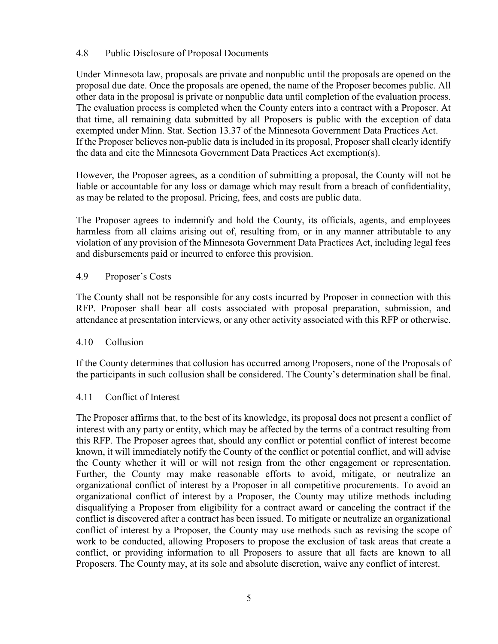#### 4.8 Public Disclosure of Proposal Documents

Under Minnesota law, proposals are private and nonpublic until the proposals are opened on the proposal due date. Once the proposals are opened, the name of the Proposer becomes public. All other data in the proposal is private or nonpublic data until completion of the evaluation process. The evaluation process is completed when the County enters into a contract with a Proposer. At that time, all remaining data submitted by all Proposers is public with the exception of data exempted under Minn. Stat. Section 13.37 of the Minnesota Government Data Practices Act. If the Proposer believes non-public data is included in its proposal, Proposer shall clearly identify the data and cite the Minnesota Government Data Practices Act exemption(s).

However, the Proposer agrees, as a condition of submitting a proposal, the County will not be liable or accountable for any loss or damage which may result from a breach of confidentiality, as may be related to the proposal. Pricing, fees, and costs are public data.

The Proposer agrees to indemnify and hold the County, its officials, agents, and employees harmless from all claims arising out of, resulting from, or in any manner attributable to any violation of any provision of the Minnesota Government Data Practices Act, including legal fees and disbursements paid or incurred to enforce this provision.

#### 4.9 Proposer's Costs

The County shall not be responsible for any costs incurred by Proposer in connection with this RFP. Proposer shall bear all costs associated with proposal preparation, submission, and attendance at presentation interviews, or any other activity associated with this RFP or otherwise.

# 4.10 Collusion

If the County determines that collusion has occurred among Proposers, none of the Proposals of the participants in such collusion shall be considered. The County's determination shall be final.

#### 4.11 Conflict of Interest

The Proposer affirms that, to the best of its knowledge, its proposal does not present a conflict of interest with any party or entity, which may be affected by the terms of a contract resulting from this RFP. The Proposer agrees that, should any conflict or potential conflict of interest become known, it will immediately notify the County of the conflict or potential conflict, and will advise the County whether it will or will not resign from the other engagement or representation. Further, the County may make reasonable efforts to avoid, mitigate, or neutralize an organizational conflict of interest by a Proposer in all competitive procurements. To avoid an organizational conflict of interest by a Proposer, the County may utilize methods including disqualifying a Proposer from eligibility for a contract award or canceling the contract if the conflict is discovered after a contract has been issued. To mitigate or neutralize an organizational conflict of interest by a Proposer, the County may use methods such as revising the scope of work to be conducted, allowing Proposers to propose the exclusion of task areas that create a conflict, or providing information to all Proposers to assure that all facts are known to all Proposers. The County may, at its sole and absolute discretion, waive any conflict of interest.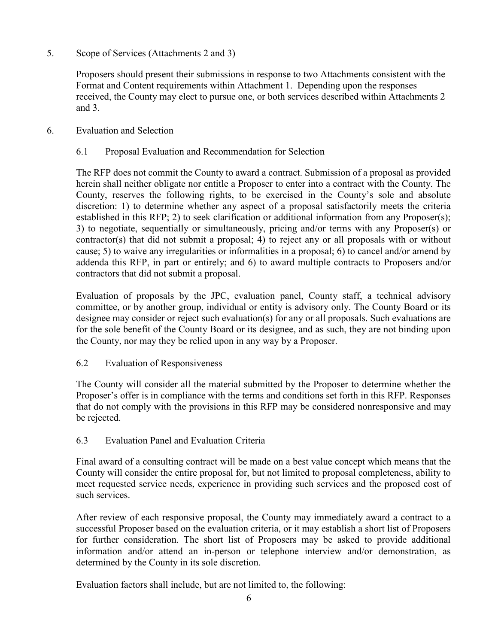5. Scope of Services (Attachments 2 and 3)

Proposers should present their submissions in response to two Attachments consistent with the Format and Content requirements within Attachment 1. Depending upon the responses received, the County may elect to pursue one, or both services described within Attachments 2 and 3.

6. Evaluation and Selection

### 6.1 Proposal Evaluation and Recommendation for Selection

The RFP does not commit the County to award a contract. Submission of a proposal as provided herein shall neither obligate nor entitle a Proposer to enter into a contract with the County. The County, reserves the following rights, to be exercised in the County's sole and absolute discretion: 1) to determine whether any aspect of a proposal satisfactorily meets the criteria established in this RFP; 2) to seek clarification or additional information from any Proposer(s); 3) to negotiate, sequentially or simultaneously, pricing and/or terms with any Proposer(s) or contractor(s) that did not submit a proposal; 4) to reject any or all proposals with or without cause; 5) to waive any irregularities or informalities in a proposal; 6) to cancel and/or amend by addenda this RFP, in part or entirely; and 6) to award multiple contracts to Proposers and/or contractors that did not submit a proposal.

Evaluation of proposals by the JPC, evaluation panel, County staff, a technical advisory committee, or by another group, individual or entity is advisory only. The County Board or its designee may consider or reject such evaluation(s) for any or all proposals. Such evaluations are for the sole benefit of the County Board or its designee, and as such, they are not binding upon the County, nor may they be relied upon in any way by a Proposer.

#### 6.2 Evaluation of Responsiveness

The County will consider all the material submitted by the Proposer to determine whether the Proposer's offer is in compliance with the terms and conditions set forth in this RFP. Responses that do not comply with the provisions in this RFP may be considered nonresponsive and may be rejected.

# 6.3 Evaluation Panel and Evaluation Criteria

Final award of a consulting contract will be made on a best value concept which means that the County will consider the entire proposal for, but not limited to proposal completeness, ability to meet requested service needs, experience in providing such services and the proposed cost of such services.

After review of each responsive proposal, the County may immediately award a contract to a successful Proposer based on the evaluation criteria, or it may establish a short list of Proposers for further consideration. The short list of Proposers may be asked to provide additional information and/or attend an in-person or telephone interview and/or demonstration, as determined by the County in its sole discretion.

Evaluation factors shall include, but are not limited to, the following: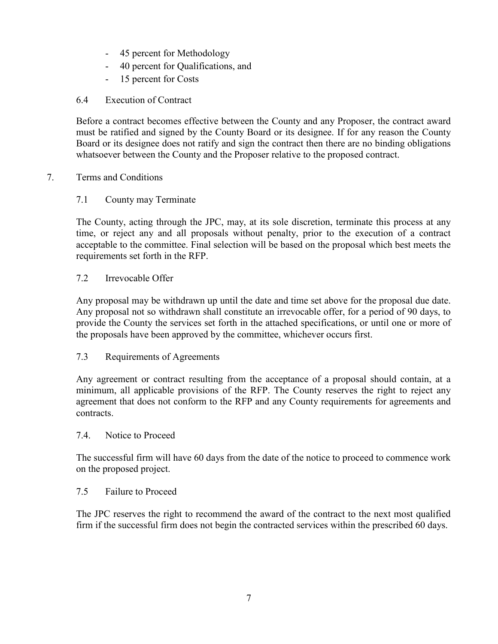- 45 percent for Methodology
- 40 percent for Qualifications, and
- 15 percent for Costs
- 6.4 Execution of Contract

Before a contract becomes effective between the County and any Proposer, the contract award must be ratified and signed by the County Board or its designee. If for any reason the County Board or its designee does not ratify and sign the contract then there are no binding obligations whatsoever between the County and the Proposer relative to the proposed contract.

# 7. Terms and Conditions

# 7.1 County may Terminate

The County, acting through the JPC, may, at its sole discretion, terminate this process at any time, or reject any and all proposals without penalty, prior to the execution of a contract acceptable to the committee. Final selection will be based on the proposal which best meets the requirements set forth in the RFP.

#### 7.2 Irrevocable Offer

Any proposal may be withdrawn up until the date and time set above for the proposal due date. Any proposal not so withdrawn shall constitute an irrevocable offer, for a period of 90 days, to provide the County the services set forth in the attached specifications, or until one or more of the proposals have been approved by the committee, whichever occurs first.

# 7.3 Requirements of Agreements

Any agreement or contract resulting from the acceptance of a proposal should contain, at a minimum, all applicable provisions of the RFP. The County reserves the right to reject any agreement that does not conform to the RFP and any County requirements for agreements and contracts.

#### 7.4. Notice to Proceed

The successful firm will have 60 days from the date of the notice to proceed to commence work on the proposed project.

#### 7.5 Failure to Proceed

The JPC reserves the right to recommend the award of the contract to the next most qualified firm if the successful firm does not begin the contracted services within the prescribed 60 days.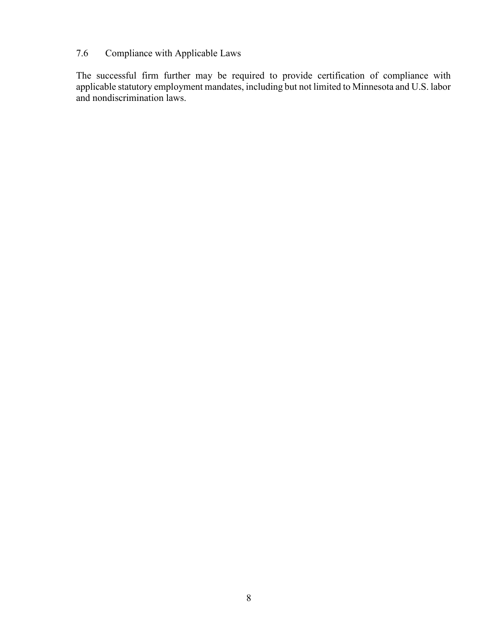# 7.6 Compliance with Applicable Laws

The successful firm further may be required to provide certification of compliance with applicable statutory employment mandates, including but not limited to Minnesota and U.S. labor and nondiscrimination laws.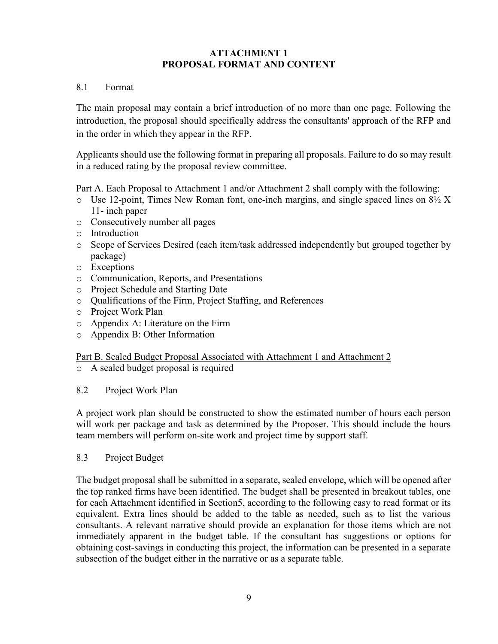# **ATTACHMENT 1 PROPOSAL FORMAT AND CONTENT**

### 8.1 Format

The main proposal may contain a brief introduction of no more than one page. Following the introduction, the proposal should specifically address the consultants' approach of the RFP and in the order in which they appear in the RFP.

Applicants should use the following format in preparing all proposals. Failure to do so may result in a reduced rating by the proposal review committee.

Part A. Each Proposal to Attachment 1 and/or Attachment 2 shall comply with the following:

- $\circ$  Use 12-point, Times New Roman font, one-inch margins, and single spaced lines on 8½ X 11- inch paper
- o Consecutively number all pages
- o Introduction
- o Scope of Services Desired (each item/task addressed independently but grouped together by package)
- o Exceptions
- o Communication, Reports, and Presentations
- o Project Schedule and Starting Date
- o Qualifications of the Firm, Project Staffing, and References
- o Project Work Plan
- o Appendix A: Literature on the Firm
- o Appendix B: Other Information

#### Part B. Sealed Budget Proposal Associated with Attachment 1 and Attachment 2

- o A sealed budget proposal is required
- 8.2 Project Work Plan

A project work plan should be constructed to show the estimated number of hours each person will work per package and task as determined by the Proposer. This should include the hours team members will perform on‐site work and project time by support staff.

8.3 Project Budget

The budget proposal shall be submitted in a separate, sealed envelope, which will be opened after the top ranked firms have been identified. The budget shall be presented in breakout tables, one for each Attachment identified in Section5, according to the following easy to read format or its equivalent. Extra lines should be added to the table as needed, such as to list the various consultants. A relevant narrative should provide an explanation for those items which are not immediately apparent in the budget table. If the consultant has suggestions or options for obtaining cost-savings in conducting this project, the information can be presented in a separate subsection of the budget either in the narrative or as a separate table.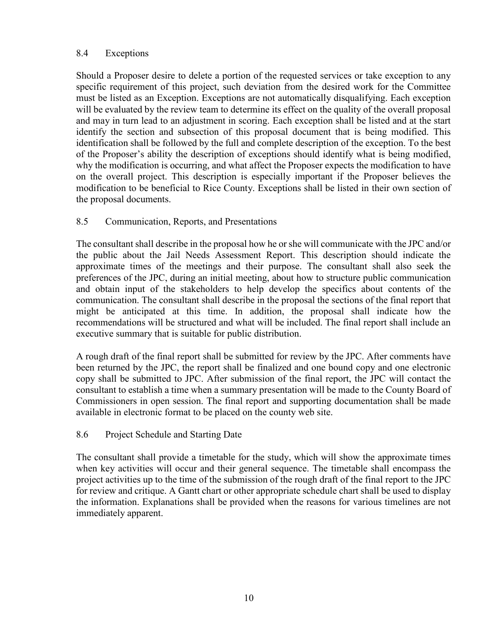#### 8.4 Exceptions

Should a Proposer desire to delete a portion of the requested services or take exception to any specific requirement of this project, such deviation from the desired work for the Committee must be listed as an Exception. Exceptions are not automatically disqualifying. Each exception will be evaluated by the review team to determine its effect on the quality of the overall proposal and may in turn lead to an adjustment in scoring. Each exception shall be listed and at the start identify the section and subsection of this proposal document that is being modified. This identification shall be followed by the full and complete description of the exception. To the best of the Proposer's ability the description of exceptions should identify what is being modified, why the modification is occurring, and what affect the Proposer expects the modification to have on the overall project. This description is especially important if the Proposer believes the modification to be beneficial to Rice County. Exceptions shall be listed in their own section of the proposal documents.

# 8.5 Communication, Reports, and Presentations

The consultant shall describe in the proposal how he or she will communicate with the JPC and/or the public about the Jail Needs Assessment Report. This description should indicate the approximate times of the meetings and their purpose. The consultant shall also seek the preferences of the JPC, during an initial meeting, about how to structure public communication and obtain input of the stakeholders to help develop the specifics about contents of the communication. The consultant shall describe in the proposal the sections of the final report that might be anticipated at this time. In addition, the proposal shall indicate how the recommendations will be structured and what will be included. The final report shall include an executive summary that is suitable for public distribution.

A rough draft of the final report shall be submitted for review by the JPC. After comments have been returned by the JPC, the report shall be finalized and one bound copy and one electronic copy shall be submitted to JPC. After submission of the final report, the JPC will contact the consultant to establish a time when a summary presentation will be made to the County Board of Commissioners in open session. The final report and supporting documentation shall be made available in electronic format to be placed on the county web site.

# 8.6 Project Schedule and Starting Date

The consultant shall provide a timetable for the study, which will show the approximate times when key activities will occur and their general sequence. The timetable shall encompass the project activities up to the time of the submission of the rough draft of the final report to the JPC for review and critique. A Gantt chart or other appropriate schedule chart shall be used to display the information. Explanations shall be provided when the reasons for various timelines are not immediately apparent.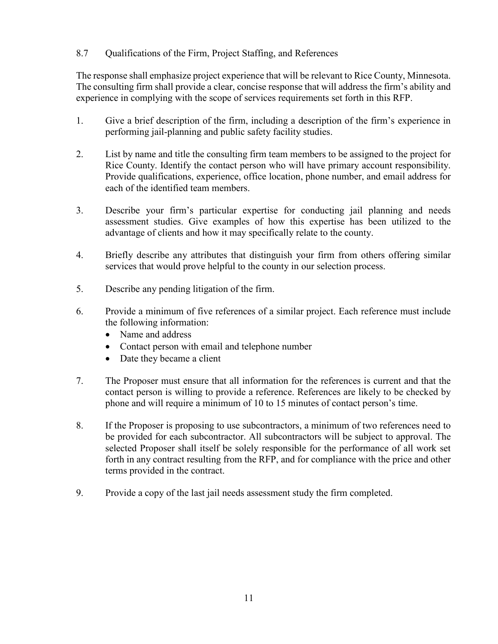### 8.7 Qualifications of the Firm, Project Staffing, and References

The response shall emphasize project experience that will be relevant to Rice County, Minnesota. The consulting firm shall provide a clear, concise response that will address the firm's ability and experience in complying with the scope of services requirements set forth in this RFP.

- 1. Give a brief description of the firm, including a description of the firm's experience in performing jail-planning and public safety facility studies.
- 2. List by name and title the consulting firm team members to be assigned to the project for Rice County. Identify the contact person who will have primary account responsibility. Provide qualifications, experience, office location, phone number, and email address for each of the identified team members.
- 3. Describe your firm's particular expertise for conducting jail planning and needs assessment studies. Give examples of how this expertise has been utilized to the advantage of clients and how it may specifically relate to the county.
- 4. Briefly describe any attributes that distinguish your firm from others offering similar services that would prove helpful to the county in our selection process.
- 5. Describe any pending litigation of the firm.
- 6. Provide a minimum of five references of a similar project. Each reference must include the following information:
	- Name and address
	- Contact person with email and telephone number
	- Date they became a client
- 7. The Proposer must ensure that all information for the references is current and that the contact person is willing to provide a reference. References are likely to be checked by phone and will require a minimum of 10 to 15 minutes of contact person's time.
- 8. If the Proposer is proposing to use subcontractors, a minimum of two references need to be provided for each subcontractor. All subcontractors will be subject to approval. The selected Proposer shall itself be solely responsible for the performance of all work set forth in any contract resulting from the RFP, and for compliance with the price and other terms provided in the contract.
- 9. Provide a copy of the last jail needs assessment study the firm completed.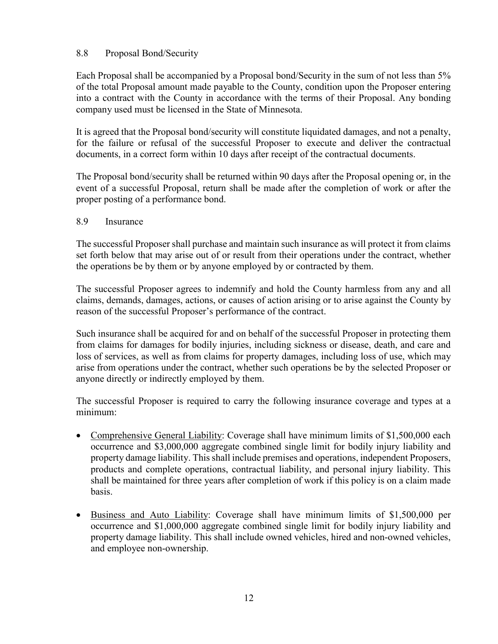#### 8.8 Proposal Bond/Security

Each Proposal shall be accompanied by a Proposal bond/Security in the sum of not less than 5% of the total Proposal amount made payable to the County, condition upon the Proposer entering into a contract with the County in accordance with the terms of their Proposal. Any bonding company used must be licensed in the State of Minnesota.

It is agreed that the Proposal bond/security will constitute liquidated damages, and not a penalty, for the failure or refusal of the successful Proposer to execute and deliver the contractual documents, in a correct form within 10 days after receipt of the contractual documents.

The Proposal bond/security shall be returned within 90 days after the Proposal opening or, in the event of a successful Proposal, return shall be made after the completion of work or after the proper posting of a performance bond.

8.9 Insurance

The successful Proposer shall purchase and maintain such insurance as will protect it from claims set forth below that may arise out of or result from their operations under the contract, whether the operations be by them or by anyone employed by or contracted by them.

The successful Proposer agrees to indemnify and hold the County harmless from any and all claims, demands, damages, actions, or causes of action arising or to arise against the County by reason of the successful Proposer's performance of the contract.

Such insurance shall be acquired for and on behalf of the successful Proposer in protecting them from claims for damages for bodily injuries, including sickness or disease, death, and care and loss of services, as well as from claims for property damages, including loss of use, which may arise from operations under the contract, whether such operations be by the selected Proposer or anyone directly or indirectly employed by them.

The successful Proposer is required to carry the following insurance coverage and types at a minimum:

- Comprehensive General Liability: Coverage shall have minimum limits of \$1,500,000 each occurrence and \$3,000,000 aggregate combined single limit for bodily injury liability and property damage liability. This shall include premises and operations, independent Proposers, products and complete operations, contractual liability, and personal injury liability. This shall be maintained for three years after completion of work if this policy is on a claim made basis.
- Business and Auto Liability: Coverage shall have minimum limits of \$1,500,000 per occurrence and \$1,000,000 aggregate combined single limit for bodily injury liability and property damage liability. This shall include owned vehicles, hired and non-owned vehicles, and employee non-ownership.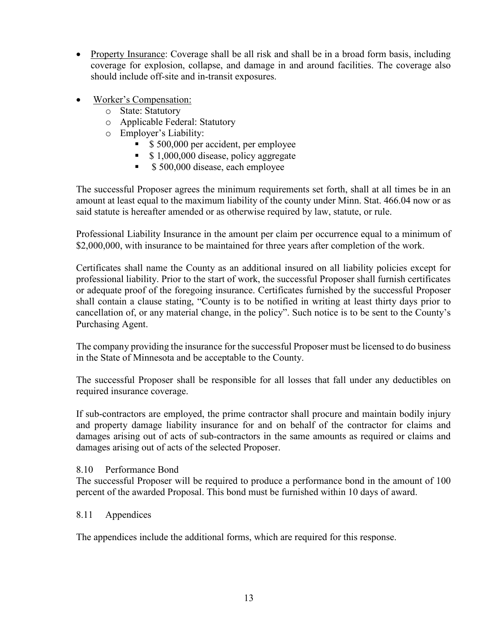- Property Insurance: Coverage shall be all risk and shall be in a broad form basis, including coverage for explosion, collapse, and damage in and around facilities. The coverage also should include off-site and in-transit exposures.
- Worker's Compensation:
	- o State: Statutory
	- o Applicable Federal: Statutory
	- o Employer's Liability:
		- \$ 500,000 per accident, per employee
		- \$1,000,000 disease, policy aggregate
		- $\sim$  \$ 500,000 disease, each employee

The successful Proposer agrees the minimum requirements set forth, shall at all times be in an amount at least equal to the maximum liability of the county under Minn. Stat. 466.04 now or as said statute is hereafter amended or as otherwise required by law, statute, or rule.

Professional Liability Insurance in the amount per claim per occurrence equal to a minimum of \$2,000,000, with insurance to be maintained for three years after completion of the work.

Certificates shall name the County as an additional insured on all liability policies except for professional liability. Prior to the start of work, the successful Proposer shall furnish certificates or adequate proof of the foregoing insurance. Certificates furnished by the successful Proposer shall contain a clause stating, "County is to be notified in writing at least thirty days prior to cancellation of, or any material change, in the policy". Such notice is to be sent to the County's Purchasing Agent.

The company providing the insurance for the successful Proposer must be licensed to do business in the State of Minnesota and be acceptable to the County.

The successful Proposer shall be responsible for all losses that fall under any deductibles on required insurance coverage.

If sub-contractors are employed, the prime contractor shall procure and maintain bodily injury and property damage liability insurance for and on behalf of the contractor for claims and damages arising out of acts of sub-contractors in the same amounts as required or claims and damages arising out of acts of the selected Proposer.

# 8.10 Performance Bond

The successful Proposer will be required to produce a performance bond in the amount of 100 percent of the awarded Proposal. This bond must be furnished within 10 days of award.

# 8.11 Appendices

The appendices include the additional forms, which are required for this response.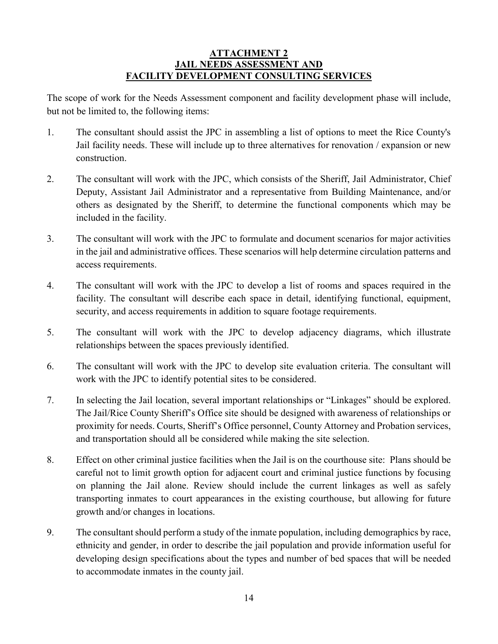#### **ATTACHMENT 2 JAIL NEEDS ASSESSMENT AND FACILITY DEVELOPMENT CONSULTING SERVICES**

The scope of work for the Needs Assessment component and facility development phase will include, but not be limited to, the following items:

- 1. The consultant should assist the JPC in assembling a list of options to meet the Rice County's Jail facility needs. These will include up to three alternatives for renovation / expansion or new construction.
- 2. The consultant will work with the JPC, which consists of the Sheriff, Jail Administrator, Chief Deputy, Assistant Jail Administrator and a representative from Building Maintenance, and/or others as designated by the Sheriff, to determine the functional components which may be included in the facility.
- 3. The consultant will work with the JPC to formulate and document scenarios for major activities in the jail and administrative offices. These scenarios will help determine circulation patterns and access requirements.
- 4. The consultant will work with the JPC to develop a list of rooms and spaces required in the facility. The consultant will describe each space in detail, identifying functional, equipment, security, and access requirements in addition to square footage requirements.
- 5. The consultant will work with the JPC to develop adjacency diagrams, which illustrate relationships between the spaces previously identified.
- 6. The consultant will work with the JPC to develop site evaluation criteria. The consultant will work with the JPC to identify potential sites to be considered.
- 7. In selecting the Jail location, several important relationships or "Linkages" should be explored. The Jail/Rice County Sheriff's Office site should be designed with awareness of relationships or proximity for needs. Courts, Sheriff's Office personnel, County Attorney and Probation services, and transportation should all be considered while making the site selection.
- 8. Effect on other criminal justice facilities when the Jail is on the courthouse site: Plans should be careful not to limit growth option for adjacent court and criminal justice functions by focusing on planning the Jail alone. Review should include the current linkages as well as safely transporting inmates to court appearances in the existing courthouse, but allowing for future growth and/or changes in locations.
- 9. The consultant should perform a study of the inmate population, including demographics by race, ethnicity and gender, in order to describe the jail population and provide information useful for developing design specifications about the types and number of bed spaces that will be needed to accommodate inmates in the county jail.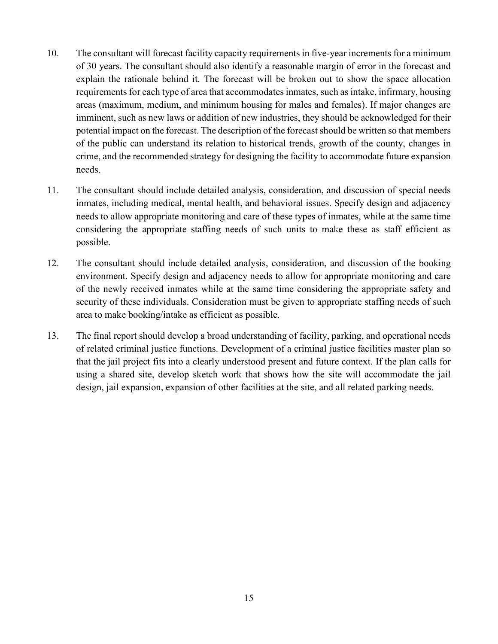- 10. The consultant will forecast facility capacity requirements in five-year increments for a minimum of 30 years. The consultant should also identify a reasonable margin of error in the forecast and explain the rationale behind it. The forecast will be broken out to show the space allocation requirements for each type of area that accommodates inmates, such as intake, infirmary, housing areas (maximum, medium, and minimum housing for males and females). If major changes are imminent, such as new laws or addition of new industries, they should be acknowledged for their potential impact on the forecast. The description of the forecast should be written so that members of the public can understand its relation to historical trends, growth of the county, changes in crime, and the recommended strategy for designing the facility to accommodate future expansion needs.
- 11. The consultant should include detailed analysis, consideration, and discussion of special needs inmates, including medical, mental health, and behavioral issues. Specify design and adjacency needs to allow appropriate monitoring and care of these types of inmates, while at the same time considering the appropriate staffing needs of such units to make these as staff efficient as possible.
- 12. The consultant should include detailed analysis, consideration, and discussion of the booking environment. Specify design and adjacency needs to allow for appropriate monitoring and care of the newly received inmates while at the same time considering the appropriate safety and security of these individuals. Consideration must be given to appropriate staffing needs of such area to make booking/intake as efficient as possible.
- 13. The final report should develop a broad understanding of facility, parking, and operational needs of related criminal justice functions. Development of a criminal justice facilities master plan so that the jail project fits into a clearly understood present and future context. If the plan calls for using a shared site, develop sketch work that shows how the site will accommodate the jail design, jail expansion, expansion of other facilities at the site, and all related parking needs.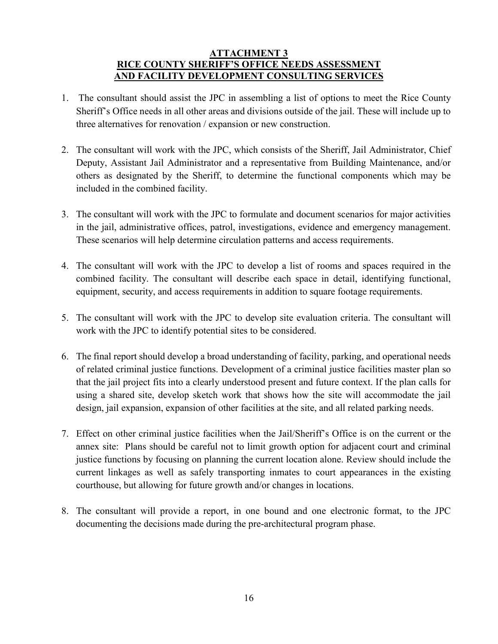#### **ATTACHMENT 3 RICE COUNTY SHERIFF'S OFFICE NEEDS ASSESSMENT AND FACILITY DEVELOPMENT CONSULTING SERVICES**

- 1. The consultant should assist the JPC in assembling a list of options to meet the Rice County Sheriff's Office needs in all other areas and divisions outside of the jail. These will include up to three alternatives for renovation / expansion or new construction.
- 2. The consultant will work with the JPC, which consists of the Sheriff, Jail Administrator, Chief Deputy, Assistant Jail Administrator and a representative from Building Maintenance, and/or others as designated by the Sheriff, to determine the functional components which may be included in the combined facility.
- 3. The consultant will work with the JPC to formulate and document scenarios for major activities in the jail, administrative offices, patrol, investigations, evidence and emergency management. These scenarios will help determine circulation patterns and access requirements.
- 4. The consultant will work with the JPC to develop a list of rooms and spaces required in the combined facility. The consultant will describe each space in detail, identifying functional, equipment, security, and access requirements in addition to square footage requirements.
- 5. The consultant will work with the JPC to develop site evaluation criteria. The consultant will work with the JPC to identify potential sites to be considered.
- 6. The final report should develop a broad understanding of facility, parking, and operational needs of related criminal justice functions. Development of a criminal justice facilities master plan so that the jail project fits into a clearly understood present and future context. If the plan calls for using a shared site, develop sketch work that shows how the site will accommodate the jail design, jail expansion, expansion of other facilities at the site, and all related parking needs.
- 7. Effect on other criminal justice facilities when the Jail/Sheriff's Office is on the current or the annex site: Plans should be careful not to limit growth option for adjacent court and criminal justice functions by focusing on planning the current location alone. Review should include the current linkages as well as safely transporting inmates to court appearances in the existing courthouse, but allowing for future growth and/or changes in locations.
- 8. The consultant will provide a report, in one bound and one electronic format, to the JPC documenting the decisions made during the pre-architectural program phase.